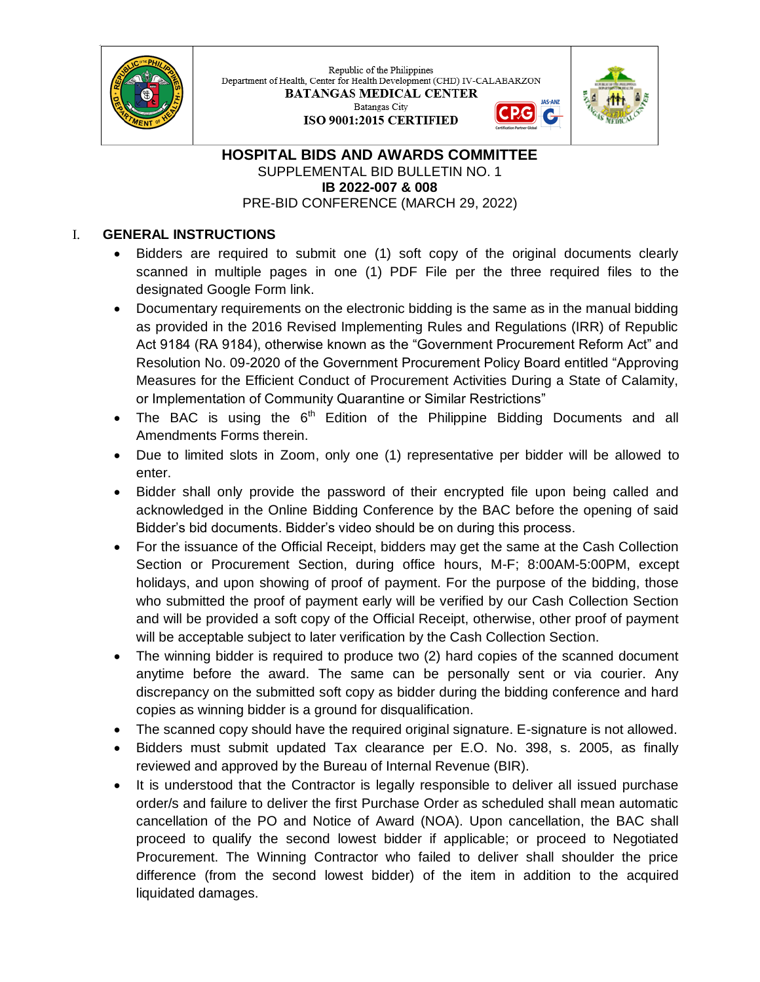

Republic of the Philippines Department of Health, Center for Health Development (CHD) IV-CALABARZON **BATANGAS MEDICAL CENTER** Batangas City G ISO 9001:2015 CERTIFIED



## **HOSPITAL BIDS AND AWARDS COMMITTEE** SUPPLEMENTAL BID BULLETIN NO. 1 **IB 2022-007 & 008** PRE-BID CONFERENCE (MARCH 29, 2022)

## I. **GENERAL INSTRUCTIONS**

- Bidders are required to submit one (1) soft copy of the original documents clearly scanned in multiple pages in one (1) PDF File per the three required files to the designated Google Form link.
- Documentary requirements on the electronic bidding is the same as in the manual bidding as provided in the 2016 Revised Implementing Rules and Regulations (IRR) of Republic Act 9184 (RA 9184), otherwise known as the "Government Procurement Reform Act" and Resolution No. 09-2020 of the Government Procurement Policy Board entitled "Approving Measures for the Efficient Conduct of Procurement Activities During a State of Calamity, or Implementation of Community Quarantine or Similar Restrictions"
- The BAC is using the  $6<sup>th</sup>$  Edition of the Philippine Bidding Documents and all Amendments Forms therein.
- Due to limited slots in Zoom, only one (1) representative per bidder will be allowed to enter.
- Bidder shall only provide the password of their encrypted file upon being called and acknowledged in the Online Bidding Conference by the BAC before the opening of said Bidder's bid documents. Bidder's video should be on during this process.
- For the issuance of the Official Receipt, bidders may get the same at the Cash Collection Section or Procurement Section, during office hours, M-F; 8:00AM-5:00PM, except holidays, and upon showing of proof of payment. For the purpose of the bidding, those who submitted the proof of payment early will be verified by our Cash Collection Section and will be provided a soft copy of the Official Receipt, otherwise, other proof of payment will be acceptable subject to later verification by the Cash Collection Section.
- The winning bidder is required to produce two (2) hard copies of the scanned document anytime before the award. The same can be personally sent or via courier. Any discrepancy on the submitted soft copy as bidder during the bidding conference and hard copies as winning bidder is a ground for disqualification.
- The scanned copy should have the required original signature. E-signature is not allowed.
- Bidders must submit updated Tax clearance per E.O. No. 398, s. 2005, as finally reviewed and approved by the Bureau of Internal Revenue (BIR).
- It is understood that the Contractor is legally responsible to deliver all issued purchase order/s and failure to deliver the first Purchase Order as scheduled shall mean automatic cancellation of the PO and Notice of Award (NOA). Upon cancellation, the BAC shall proceed to qualify the second lowest bidder if applicable; or proceed to Negotiated Procurement. The Winning Contractor who failed to deliver shall shoulder the price difference (from the second lowest bidder) of the item in addition to the acquired liquidated damages.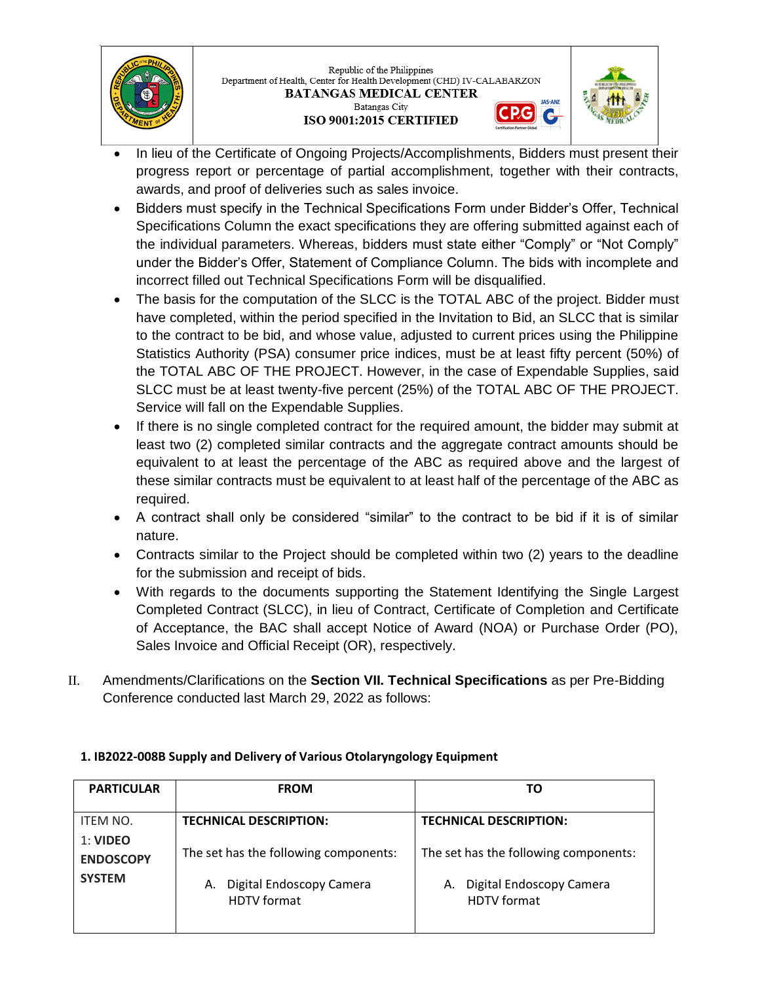

Republic of the Philippines Department of Health, Center for Health Development (CHD) IV-CALABARZON **BATANGAS MEDICAL CENTER** Batangas City ISO 9001:2015 CERTIFIED



G

- In lieu of the Certificate of Ongoing Projects/Accomplishments, Bidders must present their progress report or percentage of partial accomplishment, together with their contracts, awards, and proof of deliveries such as sales invoice.
- Bidders must specify in the Technical Specifications Form under Bidder's Offer, Technical Specifications Column the exact specifications they are offering submitted against each of the individual parameters. Whereas, bidders must state either "Comply" or "Not Comply" under the Bidder's Offer, Statement of Compliance Column. The bids with incomplete and incorrect filled out Technical Specifications Form will be disqualified.
- The basis for the computation of the SLCC is the TOTAL ABC of the project. Bidder must have completed, within the period specified in the Invitation to Bid, an SLCC that is similar to the contract to be bid, and whose value, adjusted to current prices using the Philippine Statistics Authority (PSA) consumer price indices, must be at least fifty percent (50%) of the TOTAL ABC OF THE PROJECT. However, in the case of Expendable Supplies, said SLCC must be at least twenty-five percent (25%) of the TOTAL ABC OF THE PROJECT. Service will fall on the Expendable Supplies.
- If there is no single completed contract for the required amount, the bidder may submit at least two (2) completed similar contracts and the aggregate contract amounts should be equivalent to at least the percentage of the ABC as required above and the largest of these similar contracts must be equivalent to at least half of the percentage of the ABC as required.
- A contract shall only be considered "similar" to the contract to be bid if it is of similar nature.
- Contracts similar to the Project should be completed within two (2) years to the deadline for the submission and receipt of bids.
- With regards to the documents supporting the Statement Identifying the Single Largest Completed Contract (SLCC), in lieu of Contract, Certificate of Completion and Certificate of Acceptance, the BAC shall accept Notice of Award (NOA) or Purchase Order (PO), Sales Invoice and Official Receipt (OR), respectively.
- II. Amendments/Clarifications on the **Section VII. Technical Specifications** as per Pre-Bidding Conference conducted last March 29, 2022 as follows:

| <b>PARTICULAR</b>                 | <b>FROM</b>                                                             | ТΩ                                                                      |
|-----------------------------------|-------------------------------------------------------------------------|-------------------------------------------------------------------------|
| <b>ITEM NO.</b><br>1: VIDEO       | <b>TECHNICAL DESCRIPTION:</b>                                           | <b>TECHNICAL DESCRIPTION:</b>                                           |
| <b>ENDOSCOPY</b><br><b>SYSTEM</b> | The set has the following components:<br>Digital Endoscopy Camera<br>А. | The set has the following components:<br>Digital Endoscopy Camera<br>А. |
|                                   | <b>HDTV</b> format                                                      | <b>HDTV</b> format                                                      |

## **1. IB2022-008B Supply and Delivery of Various Otolaryngology Equipment**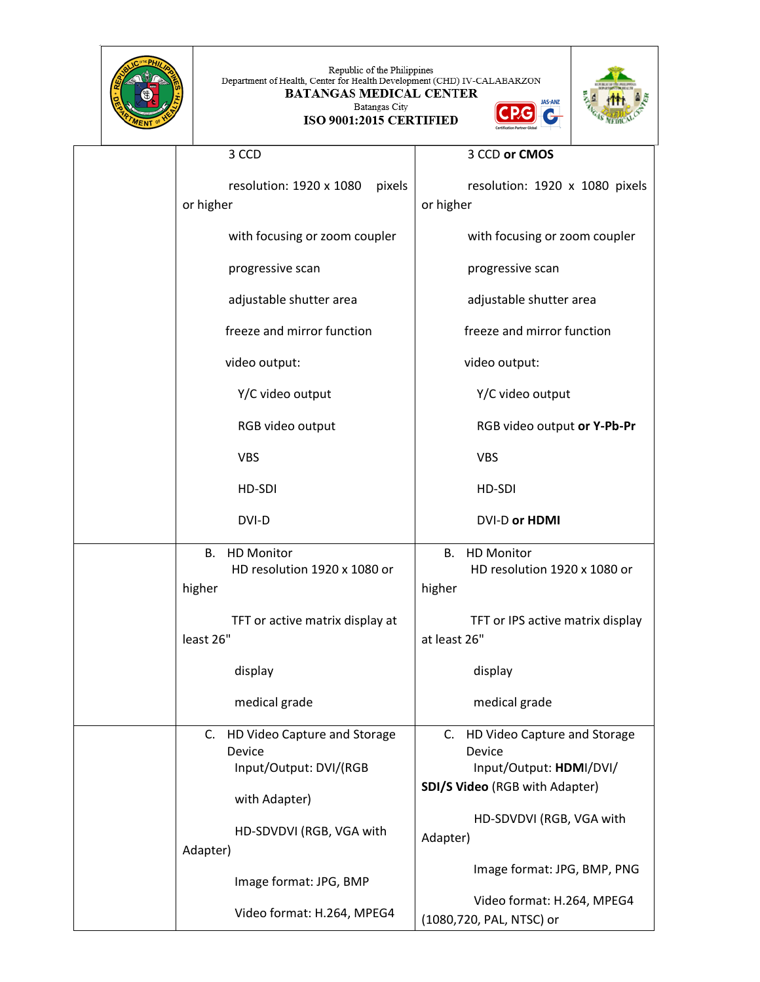|  | Republic of the Philippines<br>Department of Health, Center for Health Development (CHD) IV-CALABARZON<br><b>BATANGAS MEDICAL CENTER</b><br>Batangas City<br>ISO 9001:2015 CERTIFIED |                                                                                                           |
|--|--------------------------------------------------------------------------------------------------------------------------------------------------------------------------------------|-----------------------------------------------------------------------------------------------------------|
|  | 3 CCD                                                                                                                                                                                | 3 CCD or CMOS                                                                                             |
|  | resolution: 1920 x 1080<br>or higher                                                                                                                                                 | pixels<br>resolution: 1920 x 1080 pixels<br>or higher                                                     |
|  | with focusing or zoom coupler                                                                                                                                                        | with focusing or zoom coupler                                                                             |
|  | progressive scan                                                                                                                                                                     | progressive scan                                                                                          |
|  | adjustable shutter area                                                                                                                                                              | adjustable shutter area                                                                                   |
|  | freeze and mirror function                                                                                                                                                           | freeze and mirror function                                                                                |
|  | video output:                                                                                                                                                                        | video output:                                                                                             |
|  | Y/C video output                                                                                                                                                                     | Y/C video output                                                                                          |
|  | RGB video output                                                                                                                                                                     | RGB video output or Y-Pb-Pr                                                                               |
|  | <b>VBS</b>                                                                                                                                                                           | <b>VBS</b>                                                                                                |
|  | HD-SDI                                                                                                                                                                               | HD-SDI                                                                                                    |
|  | DVI-D                                                                                                                                                                                | <b>DVI-D or HDMI</b>                                                                                      |
|  | <b>HD Monitor</b><br>В.<br>HD resolution 1920 x 1080 or<br>higher                                                                                                                    | <b>HD Monitor</b><br>В.<br>HD resolution 1920 x 1080 or<br>higher                                         |
|  | TFT or active matrix display at<br>least 26"                                                                                                                                         | TFT or IPS active matrix display<br>at least 26"                                                          |
|  | display                                                                                                                                                                              | display                                                                                                   |
|  | medical grade                                                                                                                                                                        | medical grade                                                                                             |
|  | C. HD Video Capture and Storage<br>Device<br>Input/Output: DVI/(RGB                                                                                                                  | HD Video Capture and Storage<br>C.<br>Device<br>Input/Output: HDMI/DVI/<br>SDI/S Video (RGB with Adapter) |
|  | with Adapter)<br>HD-SDVDVI (RGB, VGA with<br>Adapter)                                                                                                                                | HD-SDVDVI (RGB, VGA with<br>Adapter)                                                                      |
|  | Image format: JPG, BMP                                                                                                                                                               | Image format: JPG, BMP, PNG                                                                               |
|  | Video format: H.264, MPEG4                                                                                                                                                           | Video format: H.264, MPEG4<br>(1080,720, PAL, NTSC) or                                                    |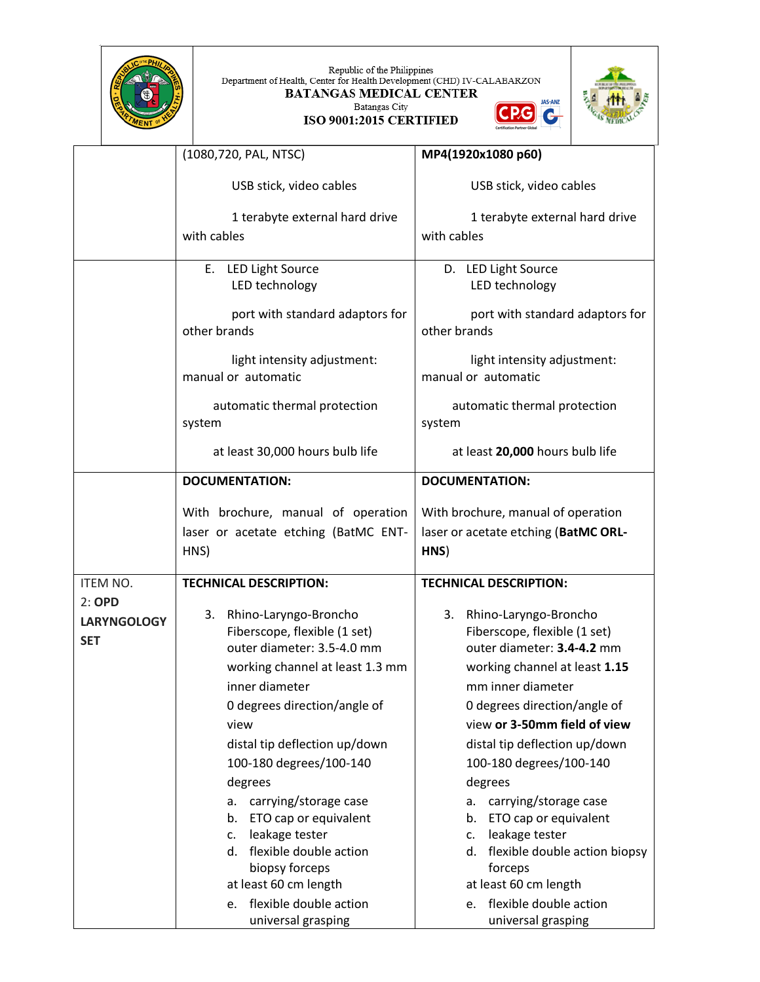| HILIPS<br><b>COTT</b><br>PTMEN |
|--------------------------------|
|                                |

Republic of the Philippines<br>Department of Health, Center for Health Development (CHD) IV-CALABARZON<br>BATANGAS MEDICAL CENTER<br>Batangas City **JAS-ANZ** CPG C





|                    | (1080,720, PAL, NTSC)                                 | MP4(1920x1080 p60)                                    |
|--------------------|-------------------------------------------------------|-------------------------------------------------------|
|                    |                                                       |                                                       |
|                    | USB stick, video cables                               | USB stick, video cables                               |
|                    | 1 terabyte external hard drive                        | 1 terabyte external hard drive                        |
|                    | with cables                                           | with cables                                           |
|                    |                                                       |                                                       |
|                    | <b>LED Light Source</b><br>Ε.                         | D. LED Light Source                                   |
|                    | LED technology                                        | LED technology                                        |
|                    | port with standard adaptors for<br>other brands       | port with standard adaptors for<br>other brands       |
|                    | light intensity adjustment:                           | light intensity adjustment:                           |
|                    | manual or automatic                                   | manual or automatic                                   |
|                    |                                                       |                                                       |
|                    | automatic thermal protection                          | automatic thermal protection                          |
|                    | system                                                | system                                                |
|                    | at least 30,000 hours bulb life                       | at least 20,000 hours bulb life                       |
|                    | <b>DOCUMENTATION:</b>                                 | <b>DOCUMENTATION:</b>                                 |
|                    |                                                       |                                                       |
|                    | With brochure, manual of operation                    | With brochure, manual of operation                    |
|                    | laser or acetate etching (BatMC ENT-                  | laser or acetate etching (BatMC ORL-                  |
|                    | HNS)                                                  | HNS)                                                  |
|                    |                                                       |                                                       |
|                    |                                                       |                                                       |
| ITEM NO.           | <b>TECHNICAL DESCRIPTION:</b>                         | <b>TECHNICAL DESCRIPTION:</b>                         |
| 2:OPD              | 3.                                                    | 3.                                                    |
| <b>LARYNGOLOGY</b> | Rhino-Laryngo-Broncho<br>Fiberscope, flexible (1 set) | Rhino-Laryngo-Broncho<br>Fiberscope, flexible (1 set) |
| <b>SET</b>         | outer diameter: 3.5-4.0 mm                            | outer diameter: 3.4-4.2 mm                            |
|                    | working channel at least 1.3 mm                       | working channel at least 1.15                         |
|                    | inner diameter                                        | mm inner diameter                                     |
|                    | 0 degrees direction/angle of                          | 0 degrees direction/angle of                          |
|                    | view                                                  | view or 3-50mm field of view                          |
|                    |                                                       |                                                       |
|                    | distal tip deflection up/down                         | distal tip deflection up/down                         |
|                    | 100-180 degrees/100-140                               | 100-180 degrees/100-140                               |
|                    | degrees                                               | degrees                                               |
|                    | carrying/storage case<br>a.                           | carrying/storage case<br>а.                           |
|                    | ETO cap or equivalent<br>b.                           | ETO cap or equivalent<br>b.                           |
|                    | leakage tester<br>c.<br>d. flexible double action     | leakage tester<br>$\mathsf{c}$ .                      |
|                    |                                                       | d. flexible double action biopsy<br>forceps           |
|                    | biopsy forceps<br>at least 60 cm length               | at least 60 cm length                                 |
|                    | flexible double action<br>e.                          | e. flexible double action                             |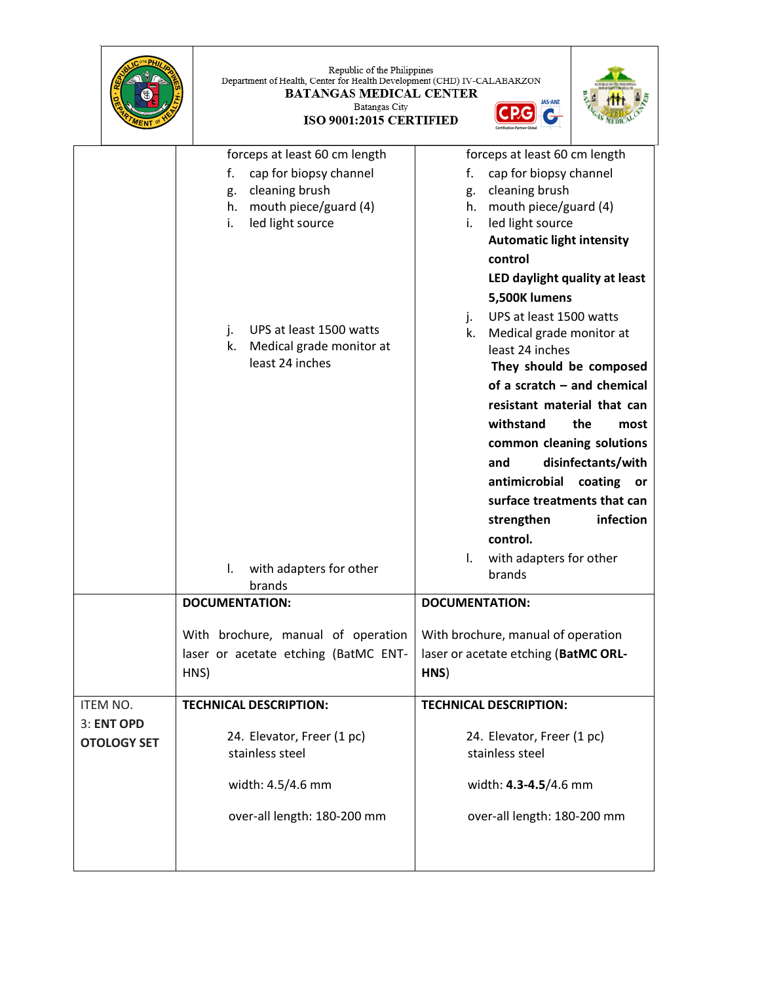|                                  | Republic of the Philippines<br>Department of Health, Center for Health Development (CHD) IV-CALABARZON<br><b>BATANGAS MEDICAL CENTER</b><br>Batangas City<br>ISO 9001:2015 CERTIFIED |                                                                                                                                                                                                                                                                                                                                                                               |
|----------------------------------|--------------------------------------------------------------------------------------------------------------------------------------------------------------------------------------|-------------------------------------------------------------------------------------------------------------------------------------------------------------------------------------------------------------------------------------------------------------------------------------------------------------------------------------------------------------------------------|
|                                  | forceps at least 60 cm length                                                                                                                                                        | forceps at least 60 cm length                                                                                                                                                                                                                                                                                                                                                 |
|                                  | f.<br>cap for biopsy channel<br>cleaning brush<br>g.<br>mouth piece/guard (4)<br>h.<br>led light source<br>i.                                                                        | cap for biopsy channel<br>f.<br>cleaning brush<br>g.<br>h. mouth piece/guard (4)<br>led light source<br>i.<br><b>Automatic light intensity</b><br>control<br>LED daylight quality at least<br>5,500K lumens                                                                                                                                                                   |
|                                  | UPS at least 1500 watts<br>j.<br>Medical grade monitor at<br>k.<br>least 24 inches                                                                                                   | UPS at least 1500 watts<br>j.<br>k.<br>Medical grade monitor at<br>least 24 inches<br>They should be composed<br>of a scratch - and chemical<br>resistant material that can<br>withstand<br>the<br>most<br>common cleaning solutions<br>disinfectants/with<br>and<br>antimicrobial coating<br><b>or</b><br>surface treatments that can<br>strengthen<br>infection<br>control. |
|                                  | with adapters for other<br>I.<br>brands                                                                                                                                              | with adapters for other<br>$\mathsf{L}$<br>brands                                                                                                                                                                                                                                                                                                                             |
|                                  | <b>DOCUMENTATION:</b>                                                                                                                                                                | <b>DOCUMENTATION:</b>                                                                                                                                                                                                                                                                                                                                                         |
|                                  | With brochure, manual of operation<br>laser or acetate etching (BatMC ENT-<br>HNS)                                                                                                   | With brochure, manual of operation<br>laser or acetate etching (BatMC ORL-<br>HNS)                                                                                                                                                                                                                                                                                            |
| ITEM NO.                         | <b>TECHNICAL DESCRIPTION:</b>                                                                                                                                                        | <b>TECHNICAL DESCRIPTION:</b>                                                                                                                                                                                                                                                                                                                                                 |
| 3: ENT OPD<br><b>OTOLOGY SET</b> | 24. Elevator, Freer (1 pc)<br>stainless steel                                                                                                                                        | 24. Elevator, Freer (1 pc)<br>stainless steel                                                                                                                                                                                                                                                                                                                                 |
|                                  | width: 4.5/4.6 mm                                                                                                                                                                    | width: 4.3-4.5/4.6 mm                                                                                                                                                                                                                                                                                                                                                         |
|                                  | over-all length: 180-200 mm                                                                                                                                                          | over-all length: 180-200 mm                                                                                                                                                                                                                                                                                                                                                   |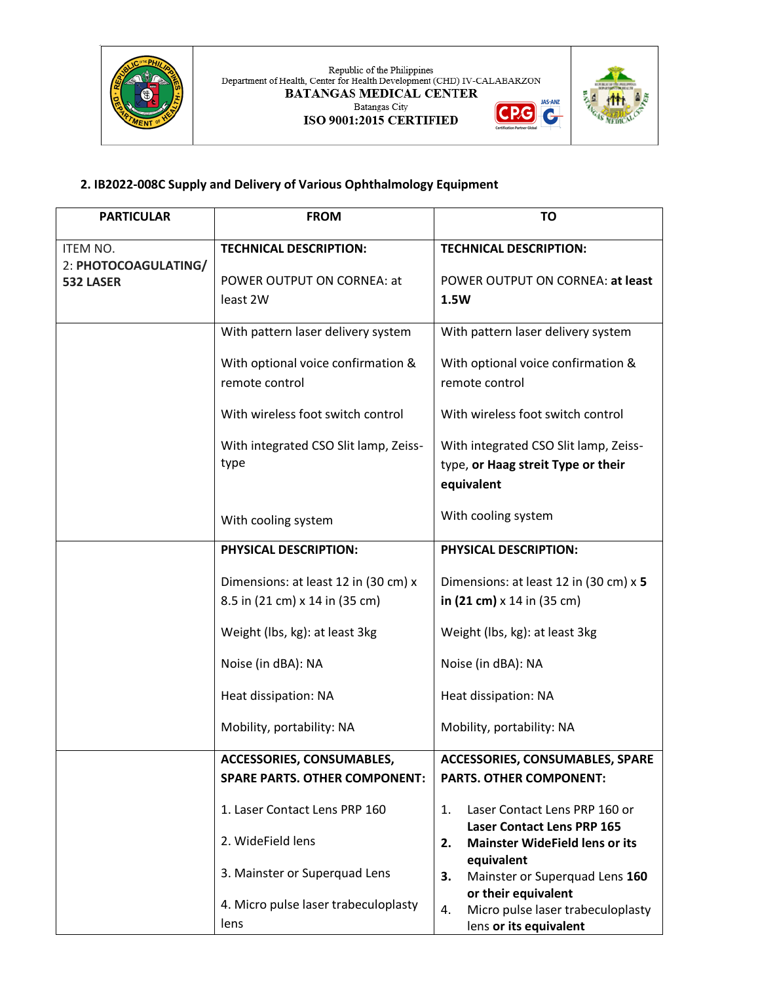

 ${\bf Republic~of~the~Philippines}$  Department of Health, Center for Health Development (CHD) IV-CALABARZON **BATANGAS MEDICAL CENTER JAS-ANZ** Batangas City  $PG$ C  $\mathbf{G}$ 

ISO 9001:2015 CERTIFIED



## **2. IB2022-008C Supply and Delivery of Various Ophthalmology Equipment**

| <b>PARTICULAR</b>                 | <b>FROM</b>                                                            | TO                                                                                            |
|-----------------------------------|------------------------------------------------------------------------|-----------------------------------------------------------------------------------------------|
| <b>ITEM NO.</b>                   | <b>TECHNICAL DESCRIPTION:</b>                                          | <b>TECHNICAL DESCRIPTION:</b>                                                                 |
| 2: PHOTOCOAGULATING/<br>532 LASER | POWER OUTPUT ON CORNEA: at<br>least 2W                                 | POWER OUTPUT ON CORNEA: at least<br>1.5W                                                      |
|                                   | With pattern laser delivery system                                     | With pattern laser delivery system                                                            |
|                                   | With optional voice confirmation &<br>remote control                   | With optional voice confirmation &<br>remote control                                          |
|                                   | With wireless foot switch control                                      | With wireless foot switch control                                                             |
|                                   | With integrated CSO Slit lamp, Zeiss-<br>type                          | With integrated CSO Slit lamp, Zeiss-<br>type, or Haag streit Type or their<br>equivalent     |
|                                   | With cooling system                                                    | With cooling system                                                                           |
|                                   | <b>PHYSICAL DESCRIPTION:</b>                                           | <b>PHYSICAL DESCRIPTION:</b>                                                                  |
|                                   | Dimensions: at least 12 in (30 cm) x<br>8.5 in (21 cm) x 14 in (35 cm) | Dimensions: at least 12 in (30 cm) x 5<br>in $(21 \text{ cm}) \times 14$ in $(35 \text{ cm})$ |
|                                   | Weight (lbs, kg): at least 3kg                                         | Weight (lbs, kg): at least 3kg                                                                |
|                                   | Noise (in dBA): NA                                                     | Noise (in dBA): NA                                                                            |
|                                   | Heat dissipation: NA                                                   | Heat dissipation: NA                                                                          |
|                                   | Mobility, portability: NA                                              | Mobility, portability: NA                                                                     |
|                                   | ACCESSORIES, CONSUMABLES,<br><b>SPARE PARTS. OTHER COMPONENT:</b>      | <b>ACCESSORIES, CONSUMABLES, SPARE</b><br><b>PARTS. OTHER COMPONENT:</b>                      |
|                                   | 1. Laser Contact Lens PRP 160                                          | Laser Contact Lens PRP 160 or<br>1.<br><b>Laser Contact Lens PRP 165</b>                      |
|                                   | 2. WideField lens                                                      | <b>Mainster WideField lens or its</b><br>2.                                                   |
|                                   | 3. Mainster or Superquad Lens                                          | equivalent<br>3.<br>Mainster or Superquad Lens 160                                            |
|                                   | 4. Micro pulse laser trabeculoplasty<br>lens                           | or their equivalent<br>Micro pulse laser trabeculoplasty<br>4.<br>lens or its equivalent      |